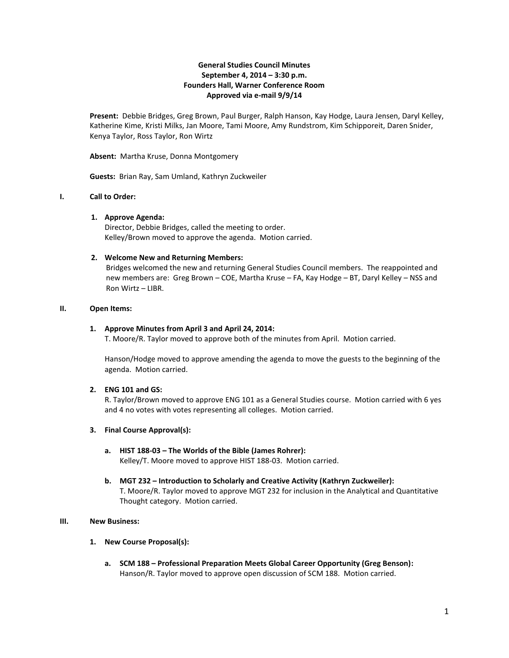# **General Studies Council Minutes September 4, 2014 – 3:30 p.m. Founders Hall, Warner Conference Room Approved via e-mail 9/9/14**

**Present:** Debbie Bridges, Greg Brown, Paul Burger, Ralph Hanson, Kay Hodge, Laura Jensen, Daryl Kelley, Katherine Kime, Kristi Milks, Jan Moore, Tami Moore, Amy Rundstrom, Kim Schipporeit, Daren Snider, Kenya Taylor, Ross Taylor, Ron Wirtz

**Absent:** Martha Kruse, Donna Montgomery

**Guests:** Brian Ray, Sam Umland, Kathryn Zuckweiler

## **I. Call to Order:**

## **1. Approve Agenda:**

Director, Debbie Bridges, called the meeting to order. Kelley/Brown moved to approve the agenda. Motion carried.

## **2. Welcome New and Returning Members:**

Bridges welcomed the new and returning General Studies Council members. The reappointed and new members are: Greg Brown – COE, Martha Kruse – FA, Kay Hodge – BT, Daryl Kelley – NSS and Ron Wirtz – LIBR.

## **II. Open Items:**

## **1. Approve Minutes from April 3 and April 24, 2014:**

T. Moore/R. Taylor moved to approve both of the minutes from April. Motion carried.

Hanson/Hodge moved to approve amending the agenda to move the guests to the beginning of the agenda. Motion carried.

# **2. ENG 101 and GS:**

R. Taylor/Brown moved to approve ENG 101 as a General Studies course. Motion carried with 6 yes and 4 no votes with votes representing all colleges. Motion carried.

## **3. Final Course Approval(s):**

- **a. HIST 188-03 – The Worlds of the Bible (James Rohrer):** Kelley/T. Moore moved to approve HIST 188-03. Motion carried.
- **b. MGT 232 – Introduction to Scholarly and Creative Activity (Kathryn Zuckweiler):** T. Moore/R. Taylor moved to approve MGT 232 for inclusion in the Analytical and Quantitative Thought category. Motion carried.

# **III. New Business:**

## **1. New Course Proposal(s):**

**a. SCM 188 – Professional Preparation Meets Global Career Opportunity (Greg Benson):**  Hanson/R. Taylor moved to approve open discussion of SCM 188. Motion carried.